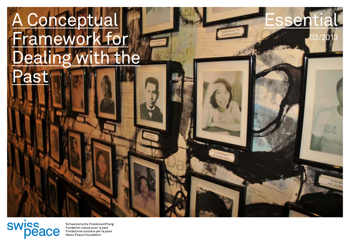# **Ceptua** Framework for **Dealin** g with the Pas

**Essential** 

 $\mathbf{0}^{\prime}$ 

swiss

Schweizerische Friedensstiftung<br>Fondation suisse pour la paix<br>Fondazione svizzera per la pace<br>Swiss Peace Foundation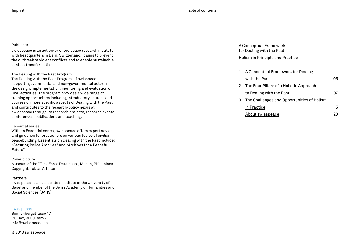#### Publisher

swisspeace is an action-oriented peace research institute with headquarters in Bern, Switzerland. It aims to prevent the outbreak of violent conflicts and to enable sustainable conflict transformation.

#### [The Dealing with the Past Program](http://www.swisspeace.ch/topics/dealing-with-the-past.html)

The Dealing with the Past Program of swisspeace supports governmental and non-governmental actors in the design, implementation, monitoring and evaluation of DwP activities. The program provides a wide range of training opportunities including introductory courses and courses on more specific aspects of Dealing with the Past and contributes to the research-policy nexus at swisspeace through its research projects, research events, conferences, publications and teaching.

#### Essential series

With its Essential series, swisspeace offers expert advice and guidance for practioners on various topics of civilian peacebuilding. Essentials on Dealing with the Past include: "[Securing Police Archives](http://www.swisspeace.ch/fileadmin/user_upload/Media/Publications/Essentials/Essential_2_2013_Peterson_Securing_Police_Archives_A_Guide_for_Practitioners_2013.pdf)" and ["Archives for a Peaceful](http://www.swisspeace.ch/fileadmin/user_upload/Media/Publications/Essentials/Essential_1_2013_Juni.pdf) [Future](http://www.swisspeace.ch/fileadmin/user_upload/Media/Publications/Essentials/Essential_1_2013_Juni.pdf)".

#### Cover picture

Museum of the "Task Force Detainees", Manila, Philippines. Copyright: Tobias Affolter.

#### Partners

swisspeace is an associated Institute of the University of Basel and member of the Swiss Academy of Humanities and Social Sciences (SAHS).

#### [swisspeace](http://www.swisspeace.org)

Sonnenbergstrasse 17 PO Box, 3000 Bern 7 info@swisspeace.ch

© 2013 swisspeace

### A Conceptual Framework for Dealing with the Past

Holism in Principle and Practice

| 1 | A Conceptual Framework for Dealing         |    |
|---|--------------------------------------------|----|
|   | with the Past                              | 05 |
| 2 | The Four Pillars of a Holistic Approach    |    |
|   | to Dealing with the Past                   | 07 |
| 3 | The Challenges and Opportunities of Holism |    |
|   | in Practice                                | 15 |
|   | About swisspeace                           | 20 |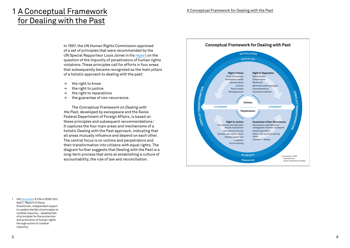## 1 A Conceptual Framework for Dealing with the Past

In 1997, the UN Human Rights Commission approved of a set of principles that were recommended by the UN Special Rapporteur Louis Joinet in his [report](http://www.unhchr.ch/huridocda/huridoca.nsf/%28Symbol%29/E.CN.4.sub.2.1997.20.Rev.1.En) on the question of the impunity of perpetrators of human rights violations.These principles call for efforts in four areas that subsequently became recognized as the main pillars of a holistic approach to dealing with the past:

- $\rightarrow$  the right to know
- $\rightarrow$  the right to justice
- $\rightarrow$  the right to reparations
- $\rightarrow$  the guarantee of non-recurrence.

The Conceptual Framework on Dealing with the Past, developed by swisspeace and the Swiss Federal Department of Foreign Affairs, is based on these principles and subsequent recommendations.<sup>1</sup> It captures the four main areas and mechanisms of a holistic Dealing with the Past approach, indicating that all areas mutually influence and depend on each other. The central focus is on victims and perpetrators and their transformation into citizens with equal rights. The diagram further suggests that Dealing with the Past is a long-term process that aims at establishing a culture of accountability, the rule of law and reconciliation.



1 UN [Document](http://www.swisspeace.ch/fileadmin/user_upload/Media/Topics/Dealing_with_the_Past/Resources/Orentlicher__Diane__E_CN4_2005_102_add1.pdf) E/CN.4/2005/102/ Add.1, Report of Diane Orentlicher, independent expert to update the Set of principles to combat impunity - Updated Set of principles for the protection and promotion of human rights through action to combat impunity.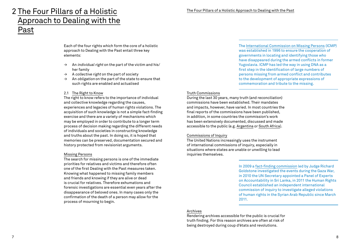### 2 The Four Pillars of a Holistic Approach to Dealing with the Past

Each of the four rights which form the core of a holistic approach to Dealing with the Past entail three key elements:

- $\rightarrow$  An *individual right* on the part of the victim and his/ her family
- $\rightarrow$  A collective right on the part of society
- $\rightarrow$  An *obligation* on the part of the state to ensure that such rights are enabled and actualised

#### 2.1 The Right to Know

The right to know refers to the importance of individual and collective knowledge regarding the causes, experiences and legacies of human rights violations. The acquisition of such knowledge is not a simple fact-finding exercise and there are a variety of mechanisms which may be employed in order to contribute to a longer term process of decision making regarding the different needs of individuals and societies in constructing knowledge and truths about the past. In doing so, it is hoped that memories can be preserved, documentation secured and history protected from revisionist arguments.

#### Missing Persons

The search for missing persons is one of the immediate priorities for relatives and victims and therefore often one of the first Dealing with the Past measures taken. Knowing what happened to missing family members and friends and knowing if they are alive or dead is crucial for relatives. Therefore exhumations and forensic investigations are essential even years after the disappearance of beloved ones. In many cases only the confirmation of the death of a person may allow for the process of mourning to begin.

The [International Commission on Missing Persons](http://www.ic-mp.org/about-icmp) (ICMP) was established in 1996 to ensure the cooperation of governments in locating and identifying those who have disappeared during the armed conflicts in former Yugoslavia. ICMP has led the way in using DNA as a first step in the identification of large numbers of persons missing from armed conflict and contributes to the development of appropriate expressions of commemoration and tribute to the missing[.](http://www.ic-mp.org/about-icmp/)

#### Truth Commissions

During the last 30 years, many truth (and reconciliation) commissions have been established. Their mandates and impacts, however, have varied. In most countries the final reports of the commissions have been published, in addition, in some countries the commission's work has been extensively documented, discussed and made accessible to the public (e.g. [Argentina](http://www.derechoshumanos.net/lesahumanidad/informes/argentina/informe-de-la-CONADEP-Nunca-mas.htm) or [South Africa](http://www.justice.gov.za/trc/)).

#### Commissions of Inquiry

The United Nations increasingly uses the instrument of international commissions of inquiry, especially in situations where states are unable or unwilling to lead inquiries themselves.

> In 2009 a [fact-finding commission](http://www2.ohchr.org/english/bodies/hrcouncil/docs/12session/A-HRC-12-48.pdf) led by Judge Richard Goldstone investigated the events during the Gaza War, in 2010 the UN Secretary appointed a Panel of Experts on Accountability in Sri Lanka, in 2011 the Human Rights Council established an independent international commission of inquiry to investigate alleged violations of human rights in the Syrian Arab Republic since March 2011.

#### Archives

Rendering archives accessible for the public is crucial for truth finding. For this reason archives are often at risk of being destroyed during coup d'états and revolutions.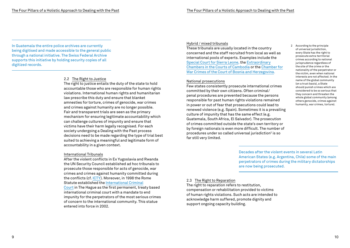In Guatemala the entire police archives are currently being digitised and made accessible to the general public through a national initiative. The Swiss Federal Archive supports this initiative by holding security copies of all digitized records.

#### 2.2 The Right to Justice

The right to justice entails the duty of the state to hold accountable those who are responsible for human rights violations. International human rights and humanitarian law prescribe this duty and ensure that blanket amnesties for torture, crimes of genocide, war crimes and crimes against humanity are no longer possible. Fair and transparent trials are seen as the primary mechanism for ensuring legitimate accountability which can challenge cultures of impunity and ensure that victims have their harm legally recognised. For each society undergoing a Dealing with the Past process decisions need to be made regarding the type of trial best suited to achieving a meaningful and legitimate form of accountability in a given context.

#### International Tribunals

After the violent conflicts in Ex Yugoslavia and Rwanda the UN Security Council established ad hoc tribunals to prosecute those responsible for acts of genocide, war crimes and crimes against humanity committed during the conflicts (cf. [ICTY](http://www.icty.org/)). Moreover, in 1998 the Rome Statute established the [International Criminal](http://www.icc-cpi.int) [Court](http://www.icc-cpi.int) in The Hague as the first permanent, treaty based international criminal court with a mandate to end impunity for the perpetrators of the most serious crimes of concern to the international community. This statue entered into force in 2002.

#### Hybrid / mixed tribunals

These tribunals are usually located in the country concerned and the staff recruited from local as well as international pools of experts. Examples include the [Special Court for Sierra Leone](http://www.sc-sl.org), the [Extraordinary](http://www.eccc.gov.kh) [Chambers in the Courts of Cambodia](http://www.eccc.gov.kh) or the [Chamber for](http://www.sudbih.gov.ba/?jezik=e) [War Crimes of the Court of Bosnia and Herzegovina.](http://www.sudbih.gov.ba/?jezik=e)

#### National prosecutions

Few states consistently prosecute international crimes committed by their own citizens. Often criminal/ penal procedures are prevented because the persons responsible for past human rights violations remained in power or out of fear that prosecutions could lead to renewed violence (e.g. Spain). Sometimes it is a prevailing culture of impunity that has the same effect (e.g. Guatemala, South Africa, El Salvador). The prosecution of crimes committed outside the state's own territory or by foreign nationals is even more difficult. The number of procedures under so called universal jurisdiction<sup>2</sup> is so far still very limited.

2 According to the principle of universal jurisdiction, every State has the right to prosecute extra-territorial crimes according to national jurisprudence regardless of the site of the crime or the nationality of the perpetrator or the victim, even when national interests are not affected. In the name of the global community (on a trust basis), a State should punish crimes which are considered to be so serious that they concern and threaten the whole global community (among others genocide, crimes against humanity, war crimes, torture).

Decades after the violent events in several Latin American States (e.g. Argentina, Chile) some of the main perpetrators of crimes during the military dictatorships are now being prosecuted.

#### 2.3 The Right to Reparation

The right to reparation refers to restitution, compensation or rehabilitation provided to victims of human rights violations. Such acts are intended to acknowledge harm suffered, promote dignity and support ongoing capacity building.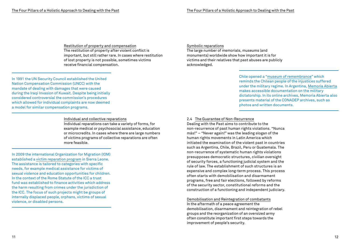Restitution of property and compensation The restitution of property after violent conflict is important, but still rather rare. In cases where restitution of lost property is not possible, sometimes victims receive financial compensation.

In 1991 the UN Security Council established the United Nation Compensation Commission (UNCC) with the mandate of dealing with damages that were caused during the Iraqi Invasion of Kuwait. Despite being initially considered controversial the commission's procedures which allowed for individual complaints are now deemed a model for similar compensation programs.

#### Individual and collective reparations

Individual reparations can take a variety of forms, for example medical or psychosocial assistance, education or microcredits. In cases where there are large numbers of victims programs of collective reparations are often more feasible.

In 2009 the international Organization for Migration (IOM) established a [victim reparation program](http://www.iom.int/cms/en/sites/iom/home/what-we-do/reparation-programmes/support-for-the-sierra-leone-reparations.html) in Sierra Leone. The assistance is tailored to categories with specific needs, for example medical assistance for victims of sexual violence and education opportunities for children. In the context of the Rome Statute of the ICC a trust fund was established to finance activities which address the harm resulting from crimes under the jurisdiction of the ICC. The focus of such projects might be groups of internally displaced people, orphans, victims of sexual violence, or disabled persons.

#### Symbolic reparations

The large number of memorials, museums (and monuments) worldwide show how important it is for victims and their relatives that past abuses are publicly acknowledged.

> Chile opened a ["museum of remembrance"](http://www.museodelamemoria.cl) which reminds the Chilean people of the injustices suffered under the military regime. In Argentina, [Memoria Abierta](http://www.memoriaabierta.org.ar/) makes accessible documentation on the military dictatorship. In its online archives, Memoria Abierta also presents material of the CONADEP archives, such as photos and written documents.

#### 2.4 The Guarantee of Non-Recurrence

Dealing with the Past aims to contribute to the non-recurrence of past human rights violations. "Nunca más!" – "Never again!" was the leading slogan of the human rights movements in Latin America which initiated the examination of the violent past in countries such as Argentina, Chile, Brazil, Peru or Guatemala. The non-recurrence of systematic human rights violations presupposes democratic structures, civilian oversight of security forces, a functioning judicial system and the rule of law. The establishment of such structures is an expensive and complex long-term process. This process often starts with demobilisation and disarmament programs, free and fair elections, followed by reforms of the security sector, constitutional reforms and the construction of a functioning and independent judiciary.

#### Demobilisation and Reintegration of combatants

In the aftermath of a peace agreement the demobilisation, disarmament and reintegration of rebel groups and the reorganization of an oversized army often constitute important first steps towards the improvement of people's security.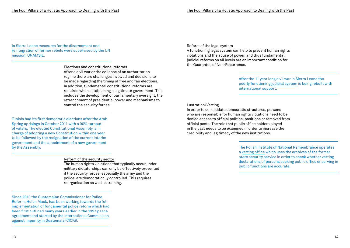A functioning legal system can help to prevent human rights violations and the abuse of power, and thus fundamental judicial reforms on all levels are an important condition for

In Sierra Leone measures for the disarmament and [reintegration](http://www.un.org/en/peacekeeping/missions/past/unamsil) of former rebels were supervised by the UN mission, UNAMSIL.

#### Elections and constitutional reforms

After a civil war or the collapse of an authoritarian regime there are challenges involved and decisions to be made regarding the timing of free and fair elections. In addition, fundamental constitutional reforms are required when establishing a legitimate government. This includes the development of parliamentary oversight, the retrenchment of presidential power and mechanisms to control the security forces.

Tunisia had its first democratic elections after the Arab Spring uprisings in October 2011 with a 90% turnout of voters. The elected Constitutional Assembly is in charge of adopting a new Constitution within one year to be followed by the resignation of the current interim government and the appointment of a new government by the Assembly.

#### Reform of the security sector

The human rights violations that typically occur under military dictatorships can only be effectively prevented if the security forces, especially the army and the police, are democratically controlled. This requires reorganisation as well as training.

Lustration/Vetting In order to consolidate democratic structures, persons

Reform of the legal system

the Guarantee of Non-Recurrence.

who are responsible for human rights violations need to be denied access to official political positions or removed from official posts. The role that public office holders played in the past needs to be examined in order to increase the credibility and legitimacy of the new institutions.

> The Polish Institute of National Remembrance operates a [vetting office w](http://ipn.gov.pl/en/about-the-institute/structure/offices/the-vetting-office-of-the-institute-of-national-remembrance)hich uses the archives of the former state security service in order to check whether vetting declarations of persons seeking public office or serving in public functions are accurate.

After the 11 year long civil war in Sierra Leone the poorly functioning [judicial system i](http://www.diis.dk/sw91651.asp)s being rebuilt with

international support.

Since 2010 the Guatemalan Commissioner for Police Reform, Helen Mack, has been working towards the full implementation of fundamental police reform which had been first outlined many years earlier in the 1997 peace agreement and started by the I[nternational Commission](http://cicig.org) [against Impunity in Guatemala](http://cicig.org) (CICIG).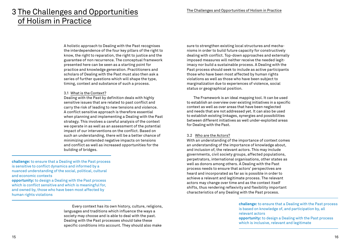### 3 The Challenges and Opportunities of Holism in Practice

A holistic approach to Dealing with the Past recognises the interdependence of the four key pillars of the right to know, the right to reparation, the right to justice and the guarantee of non recurrence. The conceptual framework presented here can be seen as a starting point for practice and knowledge generation. Practitioners and scholars of Dealing with the Past must also then ask a series of further questions which will shape the type, timing, context and substance of such a process.

#### 3.1 What is the Context?

Dealing with the Past by definition deals with highly sensitive issues that are related to past conflict and carry the risk of leading to new tensions and violence. A conflict sensitive approach is therefore essential when planning and implementing a Dealing with the Past strategy. This involves a careful analysis of the context we operate in as well as an assessment of the potential impact of our interventions on the conflict. Based on such an understanding, there will be a better chance of minimizing unintended negative impacts on tensions and conflict as well as increased opportunities for the building of bridges.

**challenge:** to ensure that a Dealing with the Past process is sensitive to conflict dynamics and informed by a nuanced understanding of the social, political, cultural and economic contexts **opportunity:** to design a Dealing with the Past process which is conflict sensitive and which is meaningful for, and owned by, those who have been most affected by human rights violations

> Every context has its own history, culture, religions, languages and traditions which influence the ways a society may choose and is able to deal with the past. Dealing with the Past processes should take these specific conditions into account. They should also make

sure to strengthen existing local structures and mechanisms in order to build future capacity for constructively dealing with conflict. Top-down approaches and externally imposed measures will neither receive the needed legitimacy nor build a sustainable process. A Dealing with the Past process should seek to include as active participants those who have been most affected by human rights violations as well as those who have been subject to marginalization due to experiences of violence, social status or geographical position.

The Framework is an ideal mapping tool. It can be used to establish an overview over existing initiatives in a specific context as well as over areas that have been neglected and needs that are not addressed yet. It can also be used to establish existing linkages, synergies and possibilities between different initiatives as well under-exploited areas for Dealing with the Past.

#### 3.2 Who are the Actors?

With an understanding of the importance of context comes an understanding of the importance of knowledge about, and inclusion of, the relevant actors. This may include governments, civil society groups, affected populations, perpetrators, international organisations, other states as well as donors among others. A Dealing with the Past process needs to ensure that actors' perspectives are heard and incorporated as far as is possible in order to achieve a relevant and legitimate process. The relevant actors may change over time and as the context itself shifts, thus rendering reflexivity and flexibility important characteristics of any Dealing with the Past process.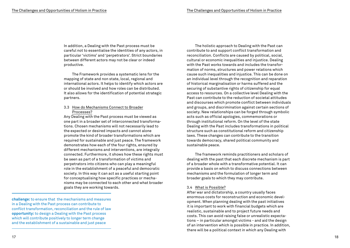In addition, a Dealing with the Past process must be careful not to essentialise the identities of any actors, in particular 'victims' and 'perpetrators'. Strict boundaries between different actors may not be clear or indeed productive.

The Framework provides a systematic lens for the mapping of state and non state, local, regional and international actors. It helps to identify which actors are or should be involved and how roles can be distributed. It also allows for the identification of potential strategic partners.

#### 3.3 How do Mechanisms Connect to Broader Processes?

Any Dealing with the Past process must be viewed as one part in a broader set of interconnected transformations. Chosen mechanisms will not necessarily lead to the expected or desired impacts and cannot alone promote the kind of broader transformations which are required for sustainable and just peace. The framework demonstrates how each of the four rights, ensured by different mechanisms and interventions, are integrally connected. Furthermore, it shows how these rights must be seen as part of a transformation of victims and perpetrators into citizens who can play a meaningful role in the establishment of a peaceful and democratic society. In this way it can act as a useful starting point for conceptualising how specific practices or mechanisms may be connected to each other and what broader goals they are working towards.

**challenge:** to ensure that the mechanisms and measures in a Dealing with the Past process can contribute to conflict transformation, reconciliation and the rule of law **opportunity:** to design a Dealing with the Past process which will contribute positively to longer term change and the establishment of a sustainable and just peace

The holistic approach to Dealing with the Past can contribute to and support conflict transformation and reconciliation. Conflicts are caused by political, social, cultural or economic inequalities and injustice. Dealing with the Past works towards and includes the transformation of norms, structures and power relations which cause such inequalities and injustice. This can be done on an individual level through the recognition and reparation of historical marginalisation or harms suffered and the securing of substantive rights of citizenship for equal access to resources. On a collective level Dealing with the Past can contribute to the reduction of societal attitudes and discourses which promote conflict between individuals and groups, and discrimination against certain sections of society. New relationships can be forged through symbolic acts such as official apologies, commemorations or through institutional reform. On the level of the state Dealing with the Past includes transformations in political structure such as constitutional reform and citizenship laws. These changes can contribute to the transition towards democracy, shared political community and sustainable peace.

The framework reminds practitioners and scholars of dealing with the past that each discrete mechanism is part of a broader whole with a transformative potential. It can provide a basis on which to discuss connections between mechanisms and the formulation of longer term and broader goals to which they may contribute.

#### 3.4 What is Possible?

After war and dictatorship, a country usually faces enormous costs for reconstruction and economic development. When planning dealing with the past initiatives it is important to work with financial budgets which are realistic, sustainable and to project future needs and costs. This can avoid raising false or unrealistic expectations – in particular amongst victims - and aid the design of an intervention which is possible in practice. In addition, there will be a political context in which any Dealing with